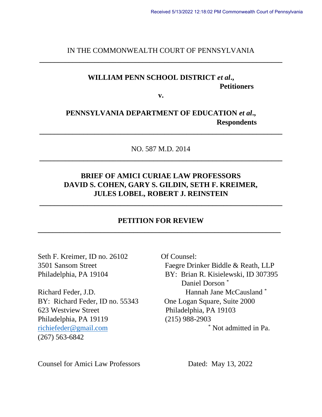IN THE COMMONWEALTH COURT OF PENNSYLVANIA **\_\_\_\_\_\_\_\_\_\_\_\_\_\_\_\_\_\_\_\_\_\_\_\_\_\_\_\_\_\_\_\_\_\_\_\_\_\_\_\_\_\_\_\_\_\_\_\_\_\_\_\_\_\_\_\_\_\_\_\_\_\_\_\_\_\_**

# **WILLIAM PENN SCHOOL DISTRICT** *et al***., Petitioners**

**v.**

### **PENNSYLVANIA DEPARTMENT OF EDUCATION** *et al***., Respondents**

**\_\_\_\_\_\_\_\_\_\_\_\_\_\_\_\_\_\_\_\_\_\_\_\_\_\_\_\_\_\_\_\_\_\_\_\_\_\_\_\_\_\_\_\_\_\_\_\_\_\_\_\_\_\_\_\_\_\_\_\_\_\_\_\_\_\_**

NO. 587 M.D. 2014 **\_\_\_\_\_\_\_\_\_\_\_\_\_\_\_\_\_\_\_\_\_\_\_\_\_\_\_\_\_\_\_\_\_\_\_\_\_\_\_\_\_\_\_\_\_\_\_\_\_\_\_\_\_\_\_\_\_\_\_\_\_\_\_\_\_\_**

## **BRIEF OF AMICI CURIAE LAW PROFESSORS DAVID S. COHEN, GARY S. GILDIN, SETH F. KREIMER, JULES LOBEL, ROBERT J. REINSTEIN**

### **PETITION FOR REVIEW \_\_\_\_\_\_\_\_\_\_\_\_\_\_\_\_\_\_\_\_\_\_\_\_\_\_\_\_\_\_\_\_\_\_\_\_\_\_\_\_\_\_\_\_\_\_\_\_\_\_\_\_\_\_\_\_\_\_\_\_\_\_\_\_\_\_**

**\_\_\_\_\_\_\_\_\_\_\_\_\_\_\_\_\_\_\_\_\_\_\_\_\_\_\_\_\_\_\_\_\_\_\_\_\_\_\_\_\_\_\_\_\_\_\_\_\_\_\_\_\_\_\_\_\_\_\_\_\_\_\_\_\_\_**

Seth F. Kreimer, ID no. 26102 Of Counsel:

BY: Richard Feder, ID no. 55343 One Logan Square, Suite 2000 623 Westview Street Philadelphia, PA 19103 Philadelphia, PA 19119 (215) 988-2903 (267) 563-6842

3501 Sansom Street Faegre Drinker Biddle & Reath, LLP Philadelphia, PA 19104 BY: Brian R. Kisielewski, ID 307395 Daniel Dorson \* Richard Feder, J.D. Hannah Jane McCausland \* [richiefeder@gmail.com](mailto:richiefeder@gmail.com) \* Not admitted in Pa.

Counsel for Amici Law Professors Dated: May 13, 2022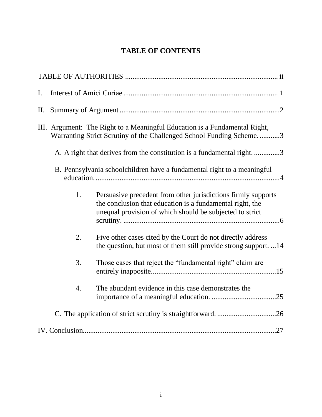# **TABLE OF CONTENTS**

| $\mathbf{I}$ . |                  |                                                                                                                                                                                        |
|----------------|------------------|----------------------------------------------------------------------------------------------------------------------------------------------------------------------------------------|
| П.             |                  |                                                                                                                                                                                        |
|                |                  | III. Argument: The Right to a Meaningful Education is a Fundamental Right,<br>Warranting Strict Scrutiny of the Challenged School Funding Scheme3                                      |
|                |                  | A. A right that derives from the constitution is a fundamental right3                                                                                                                  |
|                |                  | B. Pennsylvania schoolchildren have a fundamental right to a meaningful                                                                                                                |
|                | 1.               | Persuasive precedent from other jurisdictions firmly supports<br>the conclusion that education is a fundamental right, the<br>unequal provision of which should be subjected to strict |
|                | 2.               | Five other cases cited by the Court do not directly address<br>the question, but most of them still provide strong support. 14                                                         |
|                | 3.               | Those cases that reject the "fundamental right" claim are                                                                                                                              |
|                | $\overline{4}$ . | The abundant evidence in this case demonstrates the                                                                                                                                    |
|                |                  |                                                                                                                                                                                        |
|                |                  |                                                                                                                                                                                        |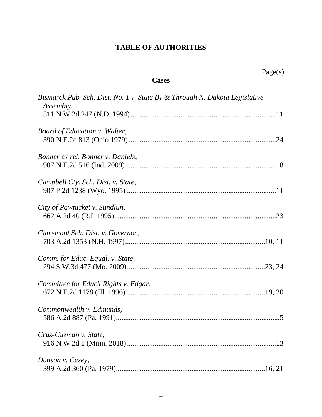# **TABLE OF AUTHORITIES**

| U<br>۳Α.<br>M. |
|----------------|
|----------------|

### **Cases**

| Bismarck Pub. Sch. Dist. No. 1 v. State By & Through N. Dakota Legislative<br>Assembly, |
|-----------------------------------------------------------------------------------------|
|                                                                                         |
| Board of Education v. Walter,                                                           |
| Bonner ex rel. Bonner v. Daniels,                                                       |
| Campbell Cty. Sch. Dist. v. State,                                                      |
| City of Pawtucket v. Sundlun,                                                           |
| Claremont Sch. Dist. v. Governor,                                                       |
| Comm. for Educ. Equal. v. State,                                                        |
| Committee for Educ'l Rights v. Edgar,                                                   |
| Commonwealth v. Edmunds,                                                                |
| Cruz-Guzman v. State,                                                                   |
| Danson v. Casey,                                                                        |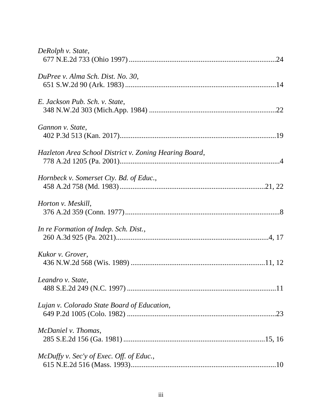| DeRolph v. State,                                      |
|--------------------------------------------------------|
| DuPree v. Alma Sch. Dist. No. 30,                      |
| E. Jackson Pub. Sch. v. State,                         |
| Gannon v. State,                                       |
| Hazleton Area School District v. Zoning Hearing Board, |
| Hornbeck v. Somerset Cty. Bd. of Educ.,                |
| Horton v. Meskill,                                     |
| In re Formation of Indep. Sch. Dist.,                  |
| Kukor v. Grover,                                       |
| Leandro v. State,                                      |
| Lujan v. Colorado State Board of Education,            |
| McDaniel v. Thomas,                                    |
| McDuffy v. Sec'y of Exec. Off. of Educ.,               |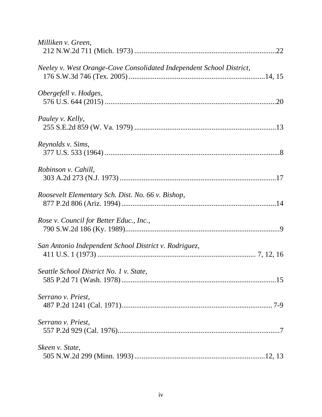| Milliken v. Green,                                                   |
|----------------------------------------------------------------------|
| Neeley v. West Orange-Cove Consolidated Independent School District, |
| Obergefell v. Hodges,                                                |
| Pauley v. Kelly,                                                     |
| Reynolds v. Sims,                                                    |
| Robinson v. Cahill,                                                  |
| Roosevelt Elementary Sch. Dist. No. 66 v. Bishop,                    |
| Rose v. Council for Better Educ., Inc.,                              |
| San Antonio Independent School District v. Rodriguez,                |
| Seattle School District No. 1 v. State,                              |
| Serrano v. Priest,                                                   |
| Serrano v. Priest,                                                   |
| Skeen v. State,                                                      |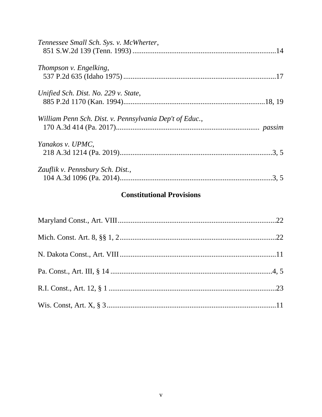| Tennessee Small Sch. Sys. v. McWherter,                 |  |
|---------------------------------------------------------|--|
| Thompson v. Engelking,                                  |  |
| Unified Sch. Dist. No. 229 v. State,                    |  |
| William Penn Sch. Dist. v. Pennsylvania Dep't of Educ., |  |
| Yanakos v. UPMC,                                        |  |
| Zauflik v. Pennsbury Sch. Dist.,                        |  |

# **Constitutional Provisions**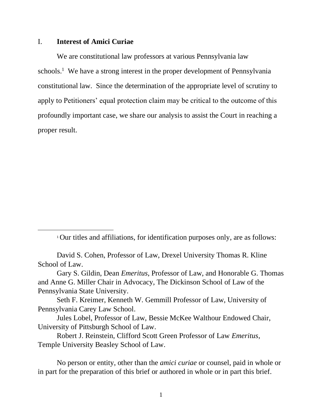#### I. **Interest of Amici Curiae**

We are constitutional law professors at various Pennsylvania law schools.<sup>1</sup> We have a strong interest in the proper development of Pennsylvania constitutional law. Since the determination of the appropriate level of scrutiny to apply to Petitioners' equal protection claim may be critical to the outcome of this profoundly important case, we share our analysis to assist the Court in reaching a proper result.

<sup>1</sup> Our titles and affiliations, for identification purposes only, are as follows:

David S. Cohen, Professor of Law, Drexel University Thomas R. Kline School of Law.

Gary S. Gildin, Dean *Emeritus*, Professor of Law, and Honorable G. Thomas and Anne G. Miller Chair in Advocacy, The Dickinson School of Law of the Pennsylvania State University.

Seth F. Kreimer, Kenneth W. Gemmill Professor of Law, University of Pennsylvania Carey Law School.

Jules Lobel, Professor of Law, Bessie McKee Walthour Endowed Chair, University of Pittsburgh School of Law.

Robert J. Reinstein, Clifford Scott Green Professor of Law *Emeritus*, Temple University Beasley School of Law.

No person or entity, other than the *amici curiae* or counsel, paid in whole or in part for the preparation of this brief or authored in whole or in part this brief.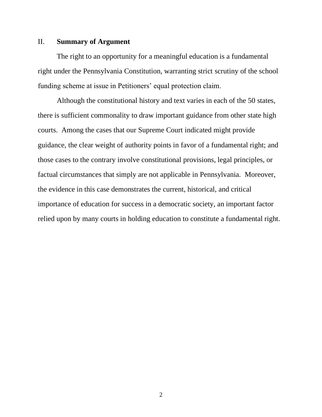#### II. **Summary of Argument**

The right to an opportunity for a meaningful education is a fundamental right under the Pennsylvania Constitution, warranting strict scrutiny of the school funding scheme at issue in Petitioners' equal protection claim.

Although the constitutional history and text varies in each of the 50 states, there is sufficient commonality to draw important guidance from other state high courts. Among the cases that our Supreme Court indicated might provide guidance, the clear weight of authority points in favor of a fundamental right; and those cases to the contrary involve constitutional provisions, legal principles, or factual circumstances that simply are not applicable in Pennsylvania. Moreover, the evidence in this case demonstrates the current, historical, and critical importance of education for success in a democratic society, an important factor relied upon by many courts in holding education to constitute a fundamental right.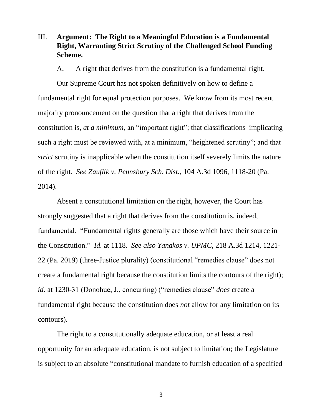### III. **Argument: The Right to a Meaningful Education is a Fundamental Right, Warranting Strict Scrutiny of the Challenged School Funding Scheme.**

#### A. A right that derives from the constitution is a fundamental right.

Our Supreme Court has not spoken definitively on how to define a fundamental right for equal protection purposes. We know from its most recent majority pronouncement on the question that a right that derives from the constitution is, *at a minimum*, an "important right"; that classifications implicating such a right must be reviewed with, at a minimum, "heightened scrutiny"; and that *strict* scrutiny is inapplicable when the constitution itself severely limits the nature of the right. *See Zauflik v. Pennsbury Sch. Dist.*, 104 A.3d 1096, 1118-20 (Pa. 2014).

Absent a constitutional limitation on the right, however, the Court has strongly suggested that a right that derives from the constitution is, indeed, fundamental. "Fundamental rights generally are those which have their source in the Constitution." *Id.* at 1118. *See also Yanakos v. UPMC*, 218 A.3d 1214, 1221- 22 (Pa. 2019) (three-Justice plurality) (constitutional "remedies clause" does not create a fundamental right because the constitution limits the contours of the right); *id.* at 1230-31 (Donohue, J., concurring) ("remedies clause" *does* create a fundamental right because the constitution does *not* allow for any limitation on its contours).

The right to a constitutionally adequate education, or at least a real opportunity for an adequate education, is not subject to limitation; the Legislature is subject to an absolute "constitutional mandate to furnish education of a specified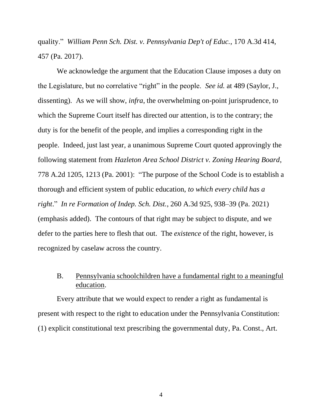quality." *William Penn Sch. Dist. v. Pennsylvania Dep't of Educ.*, 170 A.3d 414, 457 (Pa. 2017).

We acknowledge the argument that the Education Clause imposes a duty on the Legislature, but no correlative "right" in the people. *See id.* at 489 (Saylor, J., dissenting). As we will show, *infra*, the overwhelming on-point jurisprudence, to which the Supreme Court itself has directed our attention, is to the contrary; the duty is for the benefit of the people, and implies a corresponding right in the people. Indeed, just last year, a unanimous Supreme Court quoted approvingly the following statement from *Hazleton Area School District v. Zoning Hearing Board*, 778 A.2d 1205, 1213 (Pa. 2001): "The purpose of the School Code is to establish a thorough and efficient system of public education, *to which every child has a right*." *In re Formation of Indep. Sch. Dist.*, 260 A.3d 925, 938–39 (Pa. 2021) (emphasis added). The contours of that right may be subject to dispute, and we defer to the parties here to flesh that out. The *existence* of the right, however, is recognized by caselaw across the country.

### B. Pennsylvania schoolchildren have a fundamental right to a meaningful education.

Every attribute that we would expect to render a right as fundamental is present with respect to the right to education under the Pennsylvania Constitution: (1) explicit constitutional text prescribing the governmental duty, Pa. Const., Art.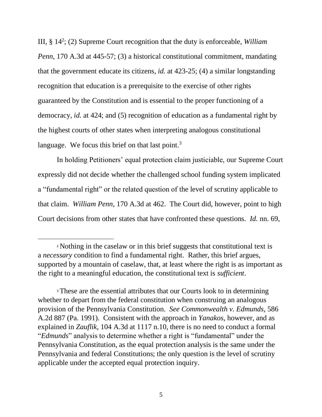III, § 14<sup>2</sup> ; (2) Supreme Court recognition that the duty is enforceable, *William Penn*, 170 A.3d at 445-57; (3) a historical constitutional commitment, mandating that the government educate its citizens, *id.* at 423-25; (4) a similar longstanding recognition that education is a prerequisite to the exercise of other rights guaranteed by the Constitution and is essential to the proper functioning of a democracy, *id.* at 424; and (5) recognition of education as a fundamental right by the highest courts of other states when interpreting analogous constitutional language. We focus this brief on that last point. $3$ 

In holding Petitioners' equal protection claim justiciable, our Supreme Court expressly did not decide whether the challenged school funding system implicated a "fundamental right" or the related question of the level of scrutiny applicable to that claim. *William Penn*, 170 A.3d at 462. The Court did, however, point to high Court decisions from other states that have confronted these questions. *Id.* nn. 69,

<sup>2</sup> Nothing in the caselaw or in this brief suggests that constitutional text is a *necessary* condition to find a fundamental right. Rather, this brief argues, supported by a mountain of caselaw, that, at least where the right is as important as the right to a meaningful education, the constitutional text is *sufficient*.

<sup>&</sup>lt;sup>3</sup> These are the essential attributes that our Courts look to in determining whether to depart from the federal constitution when construing an analogous provision of the Pennsylvania Constitution. *See Commonwealth v. Edmunds*, 586 A.2d 887 (Pa. 1991). Consistent with the approach in *Yanakos*, however, and as explained in *Zauflik*, 104 A.3d at 1117 n.10, there is no need to conduct a formal "*Edmunds*" analysis to determine whether a right is "fundamental" under the Pennsylvania Constitution, as the equal protection analysis is the same under the Pennsylvania and federal Constitutions; the only question is the level of scrutiny applicable under the accepted equal protection inquiry.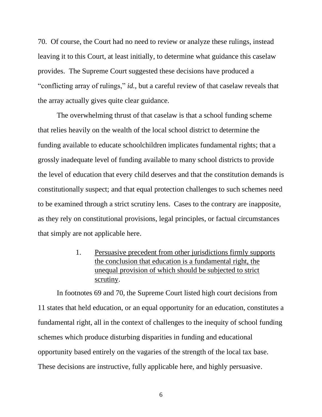70. Of course, the Court had no need to review or analyze these rulings, instead leaving it to this Court, at least initially, to determine what guidance this caselaw provides. The Supreme Court suggested these decisions have produced a "conflicting array of rulings," *id.*, but a careful review of that caselaw reveals that the array actually gives quite clear guidance.

The overwhelming thrust of that caselaw is that a school funding scheme that relies heavily on the wealth of the local school district to determine the funding available to educate schoolchildren implicates fundamental rights; that a grossly inadequate level of funding available to many school districts to provide the level of education that every child deserves and that the constitution demands is constitutionally suspect; and that equal protection challenges to such schemes need to be examined through a strict scrutiny lens. Cases to the contrary are inapposite, as they rely on constitutional provisions, legal principles, or factual circumstances that simply are not applicable here.

> 1. Persuasive precedent from other jurisdictions firmly supports the conclusion that education is a fundamental right, the unequal provision of which should be subjected to strict scrutiny.

In footnotes 69 and 70, the Supreme Court listed high court decisions from 11 states that held education, or an equal opportunity for an education, constitutes a fundamental right, all in the context of challenges to the inequity of school funding schemes which produce disturbing disparities in funding and educational opportunity based entirely on the vagaries of the strength of the local tax base. These decisions are instructive, fully applicable here, and highly persuasive.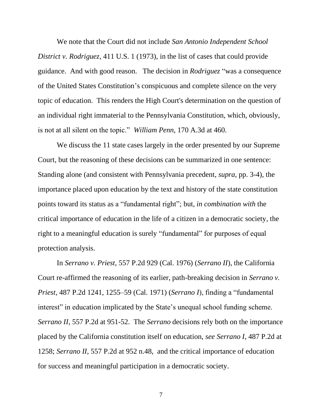We note that the Court did not include *San Antonio Independent School District v. Rodriguez*, 411 U.S. 1 (1973), in the list of cases that could provide guidance. And with good reason. The decision in *Rodriguez* "was a consequence of the United States Constitution's conspicuous and complete silence on the very topic of education. This renders the High Court's determination on the question of an individual right immaterial to the Pennsylvania Constitution, which, obviously, is not at all silent on the topic." *William Penn*, 170 A.3d at 460.

We discuss the 11 state cases largely in the order presented by our Supreme Court, but the reasoning of these decisions can be summarized in one sentence: Standing alone (and consistent with Pennsylvania precedent, *supra*, pp. 3-4), the importance placed upon education by the text and history of the state constitution points toward its status as a "fundamental right"; but, *in combination with* the critical importance of education in the life of a citizen in a democratic society, the right to a meaningful education is surely "fundamental" for purposes of equal protection analysis.

In *Serrano v. Priest*, 557 P.2d 929 (Cal. 1976) (*Serrano II*), the California Court re-affirmed the reasoning of its earlier, path-breaking decision in *Serrano v. Priest*, 487 P.2d 1241, 1255–59 (Cal. 1971) (*Serrano I*), finding a "fundamental interest" in education implicated by the State's unequal school funding scheme. *Serrano II*, 557 P.2d at 951-52. The *Serrano* decisions rely both on the importance placed by the California constitution itself on education, *see Serrano I*, 487 P.2d at 1258; *Serrano II*, 557 P.2d at 952 n.48, and the critical importance of education for success and meaningful participation in a democratic society.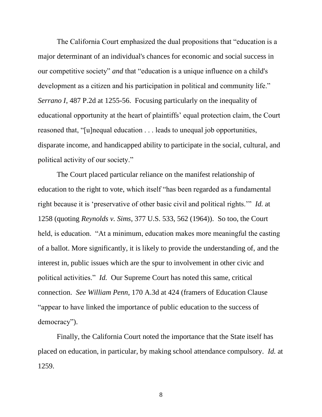The California Court emphasized the dual propositions that "education is a major determinant of an individual's chances for economic and social success in our competitive society" *and* that "education is a unique influence on a child's development as a citizen and his participation in political and community life." *Serrano I*, 487 P.2d at 1255-56. Focusing particularly on the inequality of educational opportunity at the heart of plaintiffs' equal protection claim, the Court reasoned that, "[u]nequal education . . . leads to unequal job opportunities, disparate income, and handicapped ability to participate in the social, cultural, and political activity of our society."

The Court placed particular reliance on the manifest relationship of education to the right to vote, which itself "has been regarded as a fundamental right because it is 'preservative of other basic civil and political rights.'" *Id.* at 1258 (quoting *Reynolds v. Sims*, 377 U.S. 533, 562 (1964)). So too, the Court held, is education. "At a minimum, education makes more meaningful the casting of a ballot. More significantly, it is likely to provide the understanding of, and the interest in, public issues which are the spur to involvement in other civic and political activities." *Id.* Our Supreme Court has noted this same, critical connection. *See William Penn*, 170 A.3d at 424 (framers of Education Clause "appear to have linked the importance of public education to the success of democracy").

Finally, the California Court noted the importance that the State itself has placed on education, in particular, by making school attendance compulsory. *Id.* at 1259.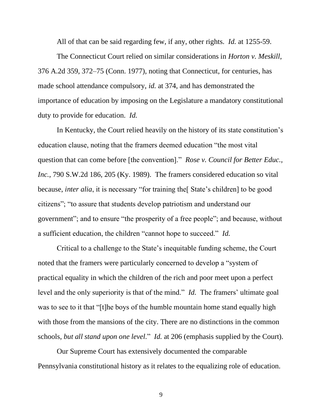All of that can be said regarding few, if any, other rights. *Id.* at 1255-59.

The Connecticut Court relied on similar considerations in *Horton v. Meskill*, 376 A.2d 359, 372–75 (Conn. 1977), noting that Connecticut, for centuries, has made school attendance compulsory, *id.* at 374, and has demonstrated the importance of education by imposing on the Legislature a mandatory constitutional duty to provide for education. *Id.*

In Kentucky, the Court relied heavily on the history of its state constitution's education clause, noting that the framers deemed education "the most vital question that can come before [the convention]." *Rose v. Council for Better Educ., Inc.*, 790 S.W.2d 186, 205 (Ky. 1989). The framers considered education so vital because, *inter alia*, it is necessary "for training the State's children] to be good citizens"; "to assure that students develop patriotism and understand our government"; and to ensure "the prosperity of a free people"; and because, without a sufficient education, the children "cannot hope to succeed." *Id.*

Critical to a challenge to the State's inequitable funding scheme, the Court noted that the framers were particularly concerned to develop a "system of practical equality in which the children of the rich and poor meet upon a perfect level and the only superiority is that of the mind." *Id.* The framers' ultimate goal was to see to it that "[t]he boys of the humble mountain home stand equally high with those from the mansions of the city. There are no distinctions in the common schools, *but all stand upon one level.*" *Id.* at 206 (emphasis supplied by the Court).

Our Supreme Court has extensively documented the comparable Pennsylvania constitutional history as it relates to the equalizing role of education.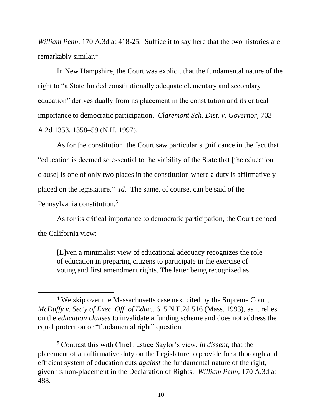*William Penn*, 170 A.3d at 418-25. Suffice it to say here that the two histories are remarkably similar.<sup>4</sup>

In New Hampshire, the Court was explicit that the fundamental nature of the right to "a State funded constitutionally adequate elementary and secondary education" derives dually from its placement in the constitution and its critical importance to democratic participation. *Claremont Sch. Dist. v. Governor*, 703 A.2d 1353, 1358–59 (N.H. 1997).

As for the constitution, the Court saw particular significance in the fact that "education is deemed so essential to the viability of the State that [the education clause] is one of only two places in the constitution where a duty is affirmatively placed on the legislature." *Id.* The same, of course, can be said of the Pennsylvania constitution.<sup>5</sup>

As for its critical importance to democratic participation, the Court echoed the California view:

[E]ven a minimalist view of educational adequacy recognizes the role of education in preparing citizens to participate in the exercise of voting and first amendment rights. The latter being recognized as

<sup>&</sup>lt;sup>4</sup> We skip over the Massachusetts case next cited by the Supreme Court, *McDuffy v. Sec'y of Exec. Off. of Educ.*, 615 N.E.2d 516 (Mass. 1993), as it relies on the *education clauses* to invalidate a funding scheme and does not address the equal protection or "fundamental right" question.

<sup>5</sup> Contrast this with Chief Justice Saylor's view, *in dissent*, that the placement of an affirmative duty on the Legislature to provide for a thorough and efficient system of education cuts *against* the fundamental nature of the right, given its non-placement in the Declaration of Rights. *William Penn*, 170 A.3d at 488.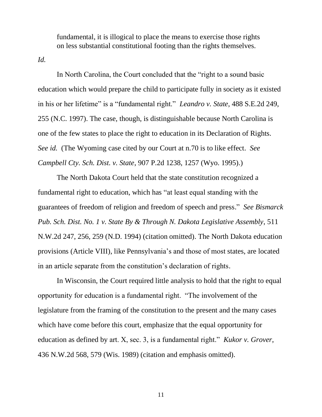fundamental, it is illogical to place the means to exercise those rights on less substantial constitutional footing than the rights themselves.

*Id.*

In North Carolina, the Court concluded that the "right to a sound basic education which would prepare the child to participate fully in society as it existed in his or her lifetime" is a "fundamental right." *Leandro v. State*, 488 S.E.2d 249, 255 (N.C. 1997). The case, though, is distinguishable because North Carolina is one of the few states to place the right to education in its Declaration of Rights. *See id.* (The Wyoming case cited by our Court at n.70 is to like effect. *See Campbell Cty. Sch. Dist. v. State*, 907 P.2d 1238, 1257 (Wyo. 1995).)

The North Dakota Court held that the state constitution recognized a fundamental right to education, which has "at least equal standing with the guarantees of freedom of religion and freedom of speech and press." *See Bismarck Pub. Sch. Dist. No. 1 v. State By & Through N. Dakota Legislative Assembly*, 511 N.W.2d 247, 256, 259 (N.D. 1994) (citation omitted). The North Dakota education provisions (Article VIII), like Pennsylvania's and those of most states, are located in an article separate from the constitution's declaration of rights.

In Wisconsin, the Court required little analysis to hold that the right to equal opportunity for education is a fundamental right. "The involvement of the legislature from the framing of the constitution to the present and the many cases which have come before this court, emphasize that the equal opportunity for education as defined by art. X, sec. 3, is a fundamental right." *Kukor v. Grover*, 436 N.W.2d 568, 579 (Wis. 1989) (citation and emphasis omitted).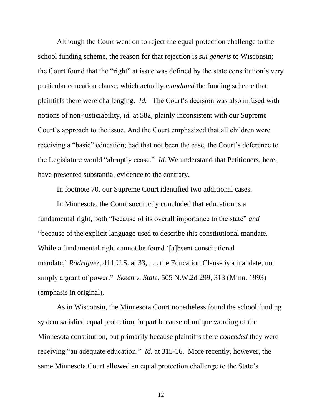Although the Court went on to reject the equal protection challenge to the school funding scheme, the reason for that rejection is *sui generis* to Wisconsin; the Court found that the "right" at issue was defined by the state constitution's very particular education clause, which actually *mandated* the funding scheme that plaintiffs there were challenging. *Id.* The Court's decision was also infused with notions of non-justiciability, *id.* at 582, plainly inconsistent with our Supreme Court's approach to the issue. And the Court emphasized that all children were receiving a "basic" education; had that not been the case, the Court's deference to the Legislature would "abruptly cease." *Id.* We understand that Petitioners, here, have presented substantial evidence to the contrary.

In footnote 70, our Supreme Court identified two additional cases.

In Minnesota, the Court succinctly concluded that education is a fundamental right, both "because of its overall importance to the state" *and*  "because of the explicit language used to describe this constitutional mandate. While a fundamental right cannot be found '[a]bsent constitutional mandate,' *Rodriguez,* 411 U.S. at 33, . . . the Education Clause *is* a mandate, not simply a grant of power." *Skeen v. State*, 505 N.W.2d 299, 313 (Minn. 1993) (emphasis in original).

As in Wisconsin, the Minnesota Court nonetheless found the school funding system satisfied equal protection, in part because of unique wording of the Minnesota constitution, but primarily because plaintiffs there *conceded* they were receiving "an adequate education." *Id.* at 315-16. More recently, however, the same Minnesota Court allowed an equal protection challenge to the State's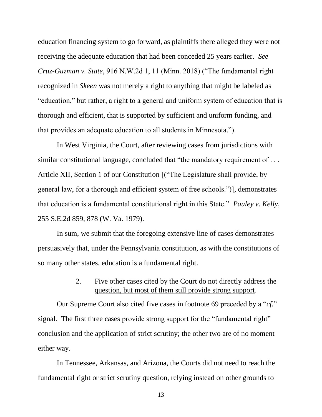education financing system to go forward, as plaintiffs there alleged they were not receiving the adequate education that had been conceded 25 years earlier. *See Cruz-Guzman v. State*, 916 N.W.2d 1, 11 (Minn. 2018) ("The fundamental right recognized in *Skeen* was not merely a right to anything that might be labeled as "education," but rather, a right to a general and uniform system of education that is thorough and efficient, that is supported by sufficient and uniform funding, and that provides an adequate education to all students in Minnesota.").

In West Virginia, the Court, after reviewing cases from jurisdictions with similar constitutional language, concluded that "the mandatory requirement of ... Article XII, Section 1 of our Constitution [("The Legislature shall provide, by general law, for a thorough and efficient system of free schools.")], demonstrates that education is a fundamental constitutional right in this State." *Pauley v. Kelly*, 255 S.E.2d 859, 878 (W. Va. 1979).

In sum, we submit that the foregoing extensive line of cases demonstrates persuasively that, under the Pennsylvania constitution, as with the constitutions of so many other states, education is a fundamental right.

#### 2. Five other cases cited by the Court do not directly address the question, but most of them still provide strong support.

Our Supreme Court also cited five cases in footnote 69 preceded by a "*cf.*" signal. The first three cases provide strong support for the "fundamental right" conclusion and the application of strict scrutiny; the other two are of no moment either way.

In Tennessee, Arkansas, and Arizona, the Courts did not need to reach the fundamental right or strict scrutiny question, relying instead on other grounds to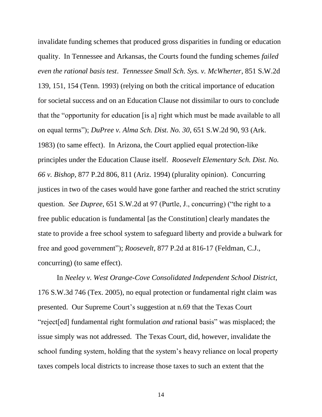invalidate funding schemes that produced gross disparities in funding or education quality. In Tennessee and Arkansas, the Courts found the funding schemes *failed even the rational basis test*. *Tennessee Small Sch. Sys. v. McWherter*, 851 S.W.2d 139, 151, 154 (Tenn. 1993) (relying on both the critical importance of education for societal success and on an Education Clause not dissimilar to ours to conclude that the "opportunity for education [is a] right which must be made available to all on equal terms"); *DuPree v. Alma Sch. Dist. No. 30*, 651 S.W.2d 90, 93 (Ark. 1983) (to same effect). In Arizona, the Court applied equal protection-like principles under the Education Clause itself. *Roosevelt Elementary Sch. Dist. No. 66 v. Bishop*, 877 P.2d 806, 811 (Ariz. 1994) (plurality opinion). Concurring justices in two of the cases would have gone farther and reached the strict scrutiny question. *See Dupree*, 651 S.W.2d at 97 (Purtle, J., concurring) ("the right to a free public education is fundamental [as the Constitution] clearly mandates the state to provide a free school system to safeguard liberty and provide a bulwark for free and good government"); *Roosevelt*, 877 P.2d at 816-17 (Feldman, C.J., concurring) (to same effect).

In *Neeley v. West Orange-Cove Consolidated Independent School District*, 176 S.W.3d 746 (Tex. 2005), no equal protection or fundamental right claim was presented. Our Supreme Court's suggestion at n.69 that the Texas Court "reject[ed] fundamental right formulation *and* rational basis" was misplaced; the issue simply was not addressed. The Texas Court, did, however, invalidate the school funding system, holding that the system's heavy reliance on local property taxes compels local districts to increase those taxes to such an extent that the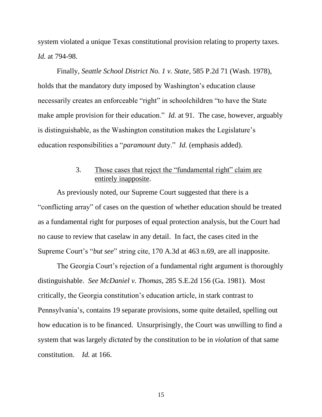system violated a unique Texas constitutional provision relating to property taxes. *Id.* at 794-98.

Finally, *Seattle School District No. 1 v. State*, 585 P.2d 71 (Wash. 1978), holds that the mandatory duty imposed by Washington's education clause necessarily creates an enforceable "right" in schoolchildren "to have the State make ample provision for their education." *Id.* at 91. The case, however, arguably is distinguishable, as the Washington constitution makes the Legislature's education responsibilities a "*paramount* duty." *Id.* (emphasis added).

### 3. Those cases that reject the "fundamental right" claim are entirely inapposite.

As previously noted, our Supreme Court suggested that there is a "conflicting array" of cases on the question of whether education should be treated as a fundamental right for purposes of equal protection analysis, but the Court had no cause to review that caselaw in any detail. In fact, the cases cited in the Supreme Court's "*but see*" string cite, 170 A.3d at 463 n.69, are all inapposite.

The Georgia Court's rejection of a fundamental right argument is thoroughly distinguishable. *See McDaniel v. Thomas*, 285 S.E.2d 156 (Ga. 1981). Most critically, the Georgia constitution's education article, in stark contrast to Pennsylvania's, contains 19 separate provisions, some quite detailed, spelling out how education is to be financed. Unsurprisingly, the Court was unwilling to find a system that was largely *dictated* by the constitution to be in *violation* of that same constitution. *Id.* at 166.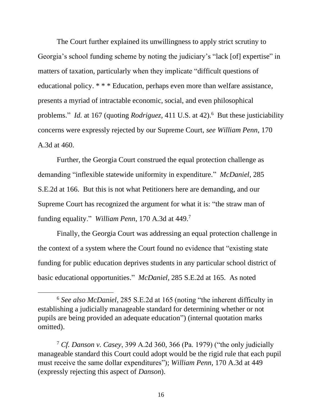The Court further explained its unwillingness to apply strict scrutiny to Georgia's school funding scheme by noting the judiciary's "lack [of] expertise" in matters of taxation, particularly when they implicate "difficult questions of educational policy. \* \* \* Education, perhaps even more than welfare assistance, presents a myriad of intractable economic, social, and even philosophical problems." *Id.* at 167 (quoting *Rodriguez*, 411 U.S. at 42).<sup>6</sup> But these justiciability concerns were expressly rejected by our Supreme Court, *see William Penn*, 170 A.3d at 460.

Further, the Georgia Court construed the equal protection challenge as demanding "inflexible statewide uniformity in expenditure." *McDaniel*, 285 S.E.2d at 166. But this is not what Petitioners here are demanding, and our Supreme Court has recognized the argument for what it is: "the straw man of funding equality." *William Penn*, 170 A.3d at 449. 7

Finally, the Georgia Court was addressing an equal protection challenge in the context of a system where the Court found no evidence that "existing state funding for public education deprives students in any particular school district of basic educational opportunities." *McDaniel*, 285 S.E.2d at 165. As noted

<sup>6</sup> *See also McDaniel*, 285 S.E.2d at 165 (noting "the inherent difficulty in establishing a judicially manageable standard for determining whether or not pupils are being provided an adequate education") (internal quotation marks omitted).

<sup>7</sup> *Cf. Danson v. Casey*, 399 A.2d 360, 366 (Pa. 1979) ("the only judicially manageable standard this Court could adopt would be the rigid rule that each pupil must receive the same dollar expenditures"); *William Penn*, 170 A.3d at 449 (expressly rejecting this aspect of *Danson*).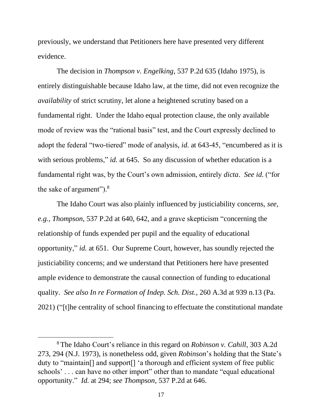previously, we understand that Petitioners here have presented very different evidence.

The decision in *Thompson v. Engelking*, 537 P.2d 635 (Idaho 1975), is entirely distinguishable because Idaho law, at the time, did not even recognize the *availability* of strict scrutiny, let alone a heightened scrutiny based on a fundamental right. Under the Idaho equal protection clause, the only available mode of review was the "rational basis" test, and the Court expressly declined to adopt the federal "two-tiered" mode of analysis, *id.* at 643-45, "encumbered as it is with serious problems," *id.* at 645. So any discussion of whether education is a fundamental right was, by the Court's own admission, entirely *dicta*. *See id.* ("for the sake of argument").<sup>8</sup>

The Idaho Court was also plainly influenced by justiciability concerns, *see, e.g.*, *Thompson*, 537 P.2d at 640, 642, and a grave skepticism "concerning the relationship of funds expended per pupil and the equality of educational opportunity," *id.* at 651. Our Supreme Court, however, has soundly rejected the justiciability concerns; and we understand that Petitioners here have presented ample evidence to demonstrate the causal connection of funding to educational quality. *See also In re Formation of Indep. Sch. Dist.*, 260 A.3d at 939 n.13 (Pa. 2021) ("[t]he centrality of school financing to effectuate the constitutional mandate

<sup>8</sup> The Idaho Court's reliance in this regard on *Robinson v. Cahill*, 303 A.2d 273, 294 (N.J. 1973), is nonetheless odd, given *Robinson*'s holding that the State's duty to "maintain[] and support[] 'a thorough and efficient system of free public schools' . . . can have no other import" other than to mandate "equal educational opportunity." *Id.* at 294; *see Thompson*, 537 P.2d at 646.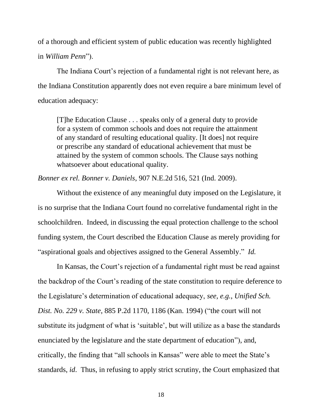of a thorough and efficient system of public education was recently highlighted in *William Penn*").

The Indiana Court's rejection of a fundamental right is not relevant here, as the Indiana Constitution apparently does not even require a bare minimum level of education adequacy:

[T]he Education Clause . . . speaks only of a general duty to provide for a system of common schools and does not require the attainment of any standard of resulting educational quality. [It does] not require or prescribe any standard of educational achievement that must be attained by the system of common schools. The Clause says nothing whatsoever about educational quality.

*Bonner ex rel. Bonner v. Daniels*, 907 N.E.2d 516, 521 (Ind. 2009).

Without the existence of any meaningful duty imposed on the Legislature, it is no surprise that the Indiana Court found no correlative fundamental right in the schoolchildren. Indeed, in discussing the equal protection challenge to the school funding system, the Court described the Education Clause as merely providing for "aspirational goals and objectives assigned to the General Assembly." *Id.*

In Kansas, the Court's rejection of a fundamental right must be read against the backdrop of the Court's reading of the state constitution to require deference to the Legislature's determination of educational adequacy, *see, e.g.*, *Unified Sch. Dist. No. 229 v. State*, 885 P.2d 1170, 1186 (Kan. 1994) ("the court will not substitute its judgment of what is 'suitable', but will utilize as a base the standards enunciated by the legislature and the state department of education"), and, critically, the finding that "all schools in Kansas" were able to meet the State's standards, *id*. Thus, in refusing to apply strict scrutiny, the Court emphasized that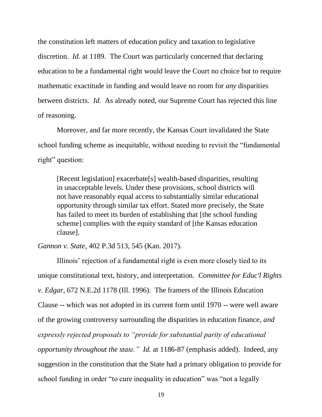the constitution left matters of education policy and taxation to legislative discretion. *Id.* at 1189. The Court was particularly concerned that declaring education to be a fundamental right would leave the Court no choice but to require mathematic exactitude in funding and would leave no room for *any* disparities between districts. *Id.* As already noted, our Supreme Court has rejected this line of reasoning.

Moreover, and far more recently, the Kansas Court invalidated the State school funding scheme as inequitable, without needing to revisit the "fundamental right" question:

[Recent legislation] exacerbate[s] wealth-based disparities, resulting in unacceptable levels. Under these provisions, school districts will not have reasonably equal access to substantially similar educational opportunity through similar tax effort. Stated more precisely, the State has failed to meet its burden of establishing that [the school funding scheme] complies with the equity standard of [the Kansas education clause].

*Gannon v. State*, 402 P.3d 513, 545 (Kan. 2017).

Illinois' rejection of a fundamental right is even more closely tied to its unique constitutional text, history, and interpretation. *Committee for Educ'l Rights v. Edgar*, 672 N.E.2d 1178 (Ill. 1996). The framers of the Illinois Education Clause -- which was not adopted in its current form until 1970 -- were well aware of the growing controversy surrounding the disparities in education finance, *and expressly rejected proposals to "provide for substantial parity of educational opportunity throughout the state." Id.* at 1186-87 (emphasis added). Indeed, any suggestion in the constitution that the State had a primary obligation to provide for school funding in order "to cure inequality in education" was "not a legally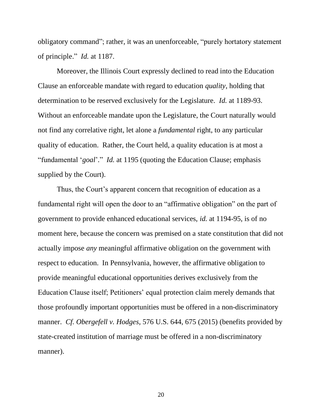obligatory command"; rather, it was an unenforceable, "purely hortatory statement of principle." *Id.* at 1187.

Moreover, the Illinois Court expressly declined to read into the Education Clause an enforceable mandate with regard to education *quality*, holding that determination to be reserved exclusively for the Legislature. *Id.* at 1189-93. Without an enforceable mandate upon the Legislature, the Court naturally would not find any correlative right, let alone a *fundamental* right, to any particular quality of education. Rather, the Court held, a quality education is at most a "fundamental '*goal*'*.*" *Id.* at 1195 (quoting the Education Clause; emphasis supplied by the Court).

Thus, the Court's apparent concern that recognition of education as a fundamental right will open the door to an "affirmative obligation" on the part of government to provide enhanced educational services, *id.* at 1194-95, is of no moment here, because the concern was premised on a state constitution that did not actually impose *any* meaningful affirmative obligation on the government with respect to education. In Pennsylvania, however, the affirmative obligation to provide meaningful educational opportunities derives exclusively from the Education Clause itself; Petitioners' equal protection claim merely demands that those profoundly important opportunities must be offered in a non-discriminatory manner. *Cf. Obergefell v. Hodges*, 576 U.S. 644, 675 (2015) (benefits provided by state-created institution of marriage must be offered in a non-discriminatory manner).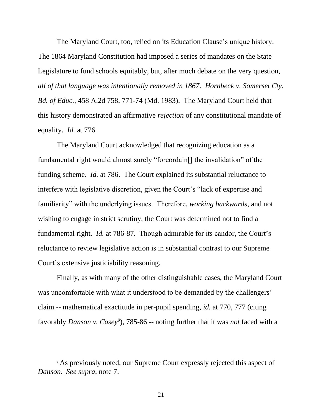The Maryland Court, too, relied on its Education Clause's unique history. The 1864 Maryland Constitution had imposed a series of mandates on the State Legislature to fund schools equitably, but, after much debate on the very question, *all of that language was intentionally removed in 1867*. *Hornbeck v. Somerset Cty. Bd. of Educ.*, 458 A.2d 758, 771-74 (Md. 1983). The Maryland Court held that this history demonstrated an affirmative *rejection* of any constitutional mandate of equality. *Id.* at 776.

The Maryland Court acknowledged that recognizing education as a fundamental right would almost surely "foreordain[] the invalidation" of the funding scheme. *Id.* at 786. The Court explained its substantial reluctance to interfere with legislative discretion, given the Court's "lack of expertise and familiarity" with the underlying issues. Therefore, *working backwards*, and not wishing to engage in strict scrutiny, the Court was determined not to find a fundamental right. *Id.* at 786-87. Though admirable for its candor, the Court's reluctance to review legislative action is in substantial contrast to our Supreme Court's extensive justiciability reasoning.

Finally, as with many of the other distinguishable cases, the Maryland Court was uncomfortable with what it understood to be demanded by the challengers' claim -- mathematical exactitude in per-pupil spending, *id.* at 770, 777 (citing favorably *Danson v. Casey<sup>9</sup>* ), 785-86 -- noting further that it was *not* faced with a

<sup>9</sup> As previously noted, our Supreme Court expressly rejected this aspect of *Danson*. *See supra*, note 7.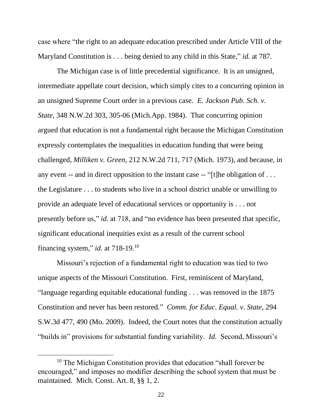case where "the right to an adequate education prescribed under Article VIII of the Maryland Constitution is . . . being denied to any child in this State," *id.* at 787.

The Michigan case is of little precedential significance. It is an unsigned, intermediate appellate court decision, which simply cites to a concurring opinion in an unsigned Supreme Court order in a previous case. *E. Jackson Pub. Sch. v. State*, 348 N.W.2d 303, 305-06 (Mich.App. 1984). That concurring opinion argued that education is not a fundamental right because the Michigan Constitution expressly contemplates the inequalities in education funding that were being challenged, *Milliken v. Green*, 212 N.W.2d 711, 717 (Mich. 1973), and because, in any event -- and in direct opposition to the instant case -- "[t]he obligation of . . . the Legislature . . . to students who live in a school district unable or unwilling to provide an adequate level of educational services or opportunity is . . . not presently before us," *id.* at 718, and "no evidence has been presented that specific, significant educational inequities exist as a result of the current school financing system," *id.* at 718-19. 10

Missouri's rejection of a fundamental right to education was tied to two unique aspects of the Missouri Constitution. First, reminiscent of Maryland, "language regarding equitable educational funding . . . was removed in the 1875 Constitution and never has been restored." *Comm. for Educ. Equal. v. State*, 294 S.W.3d 477, 490 (Mo. 2009). Indeed, the Court notes that the constitution actually "builds in" provisions for substantial funding variability. *Id.* Second, Missouri's

<sup>&</sup>lt;sup>10</sup> The Michigan Constitution provides that education "shall forever be encouraged," and imposes no modifier describing the school system that must be maintained. Mich. Const. Art. 8, §§ 1, 2.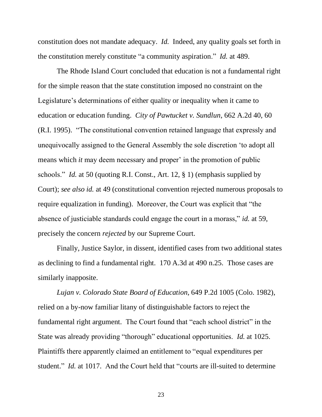constitution does not mandate adequacy. *Id.* Indeed, any quality goals set forth in the constitution merely constitute "a community aspiration." *Id.* at 489.

The Rhode Island Court concluded that education is not a fundamental right for the simple reason that the state constitution imposed no constraint on the Legislature's determinations of either quality or inequality when it came to education or education funding. *City of Pawtucket v. Sundlun*, 662 A.2d 40, 60 (R.I. 1995). "The constitutional convention retained language that expressly and unequivocally assigned to the General Assembly the sole discretion 'to adopt all means which *it* may deem necessary and proper' in the promotion of public schools." *Id.* at 50 (quoting R.I. Const., Art. 12, § 1) (emphasis supplied by Court); *see also id.* at 49 (constitutional convention rejected numerous proposals to require equalization in funding). Moreover, the Court was explicit that "the absence of justiciable standards could engage the court in a morass," *id.* at 59, precisely the concern *rejected* by our Supreme Court.

Finally, Justice Saylor, in dissent, identified cases from two additional states as declining to find a fundamental right. 170 A.3d at 490 n.25. Those cases are similarly inapposite.

*Lujan v. Colorado State Board of Education*, 649 P.2d 1005 (Colo. 1982), relied on a by-now familiar litany of distinguishable factors to reject the fundamental right argument. The Court found that "each school district" in the State was already providing "thorough" educational opportunities. *Id.* at 1025. Plaintiffs there apparently claimed an entitlement to "equal expenditures per student." *Id.* at 1017. And the Court held that "courts are ill-suited to determine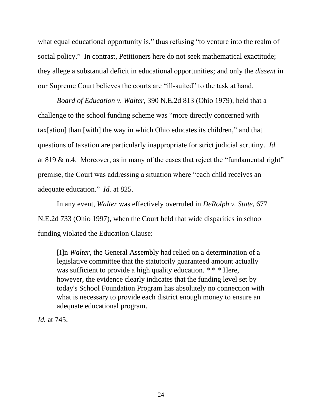what equal educational opportunity is," thus refusing "to venture into the realm of social policy." In contrast, Petitioners here do not seek mathematical exactitude; they allege a substantial deficit in educational opportunities; and only the *dissent* in our Supreme Court believes the courts are "ill-suited" to the task at hand.

*Board of Education v. Walter*, 390 N.E.2d 813 (Ohio 1979), held that a challenge to the school funding scheme was "more directly concerned with tax[ation] than [with] the way in which Ohio educates its children," and that questions of taxation are particularly inappropriate for strict judicial scrutiny. *Id.*  at 819 & n.4. Moreover, as in many of the cases that reject the "fundamental right" premise, the Court was addressing a situation where "each child receives an adequate education." *Id.* at 825.

In any event, *Walter* was effectively overruled in *DeRolph v. State*, 677 N.E.2d 733 (Ohio 1997), when the Court held that wide disparities in school funding violated the Education Clause:

[I]n *Walter,* the General Assembly had relied on a determination of a legislative committee that the statutorily guaranteed amount actually was sufficient to provide a high quality education. \* \* \* Here, however, the evidence clearly indicates that the funding level set by today's School Foundation Program has absolutely no connection with what is necessary to provide each district enough money to ensure an adequate educational program.

*Id.* at 745.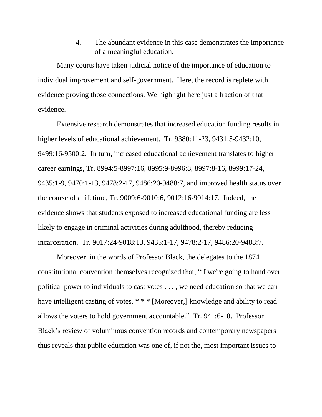4. The abundant evidence in this case demonstrates the importance of a meaningful education.

Many courts have taken judicial notice of the importance of education to individual improvement and self-government. Here, the record is replete with evidence proving those connections. We highlight here just a fraction of that evidence.

Extensive research demonstrates that increased education funding results in higher levels of educational achievement. Tr. 9380:11-23, 9431:5-9432:10, 9499:16-9500:2. In turn, increased educational achievement translates to higher career earnings, Tr. 8994:5-8997:16, 8995:9-8996:8, 8997:8-16, 8999:17-24, 9435:1-9, 9470:1-13, 9478:2-17, 9486:20-9488:7, and improved health status over the course of a lifetime, Tr. 9009:6-9010:6, 9012:16-9014:17. Indeed, the evidence shows that students exposed to increased educational funding are less likely to engage in criminal activities during adulthood, thereby reducing incarceration. Tr. 9017:24-9018:13, 9435:1-17, 9478:2-17, 9486:20-9488:7.

Moreover, in the words of Professor Black, the delegates to the 1874 constitutional convention themselves recognized that, "if we're going to hand over political power to individuals to cast votes . . . , we need education so that we can have intelligent casting of votes. \* \* \* [Moreover,] knowledge and ability to read allows the voters to hold government accountable." Tr. 941:6-18. Professor Black's review of voluminous convention records and contemporary newspapers thus reveals that public education was one of, if not the, most important issues to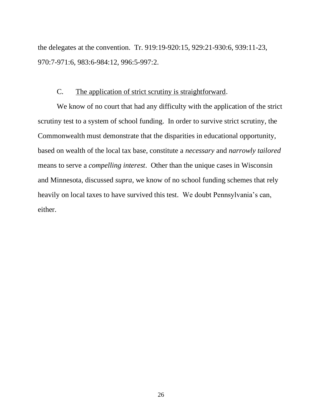the delegates at the convention. Tr. 919:19-920:15, 929:21-930:6, 939:11-23, 970:7-971:6, 983:6-984:12, 996:5-997:2.

#### C. The application of strict scrutiny is straightforward.

We know of no court that had any difficulty with the application of the strict scrutiny test to a system of school funding. In order to survive strict scrutiny, the Commonwealth must demonstrate that the disparities in educational opportunity, based on wealth of the local tax base, constitute a *necessary* and *narrowly tailored*  means to serve a *compelling interest*. Other than the unique cases in Wisconsin and Minnesota, discussed *supra*, we know of no school funding schemes that rely heavily on local taxes to have survived this test. We doubt Pennsylvania's can, either.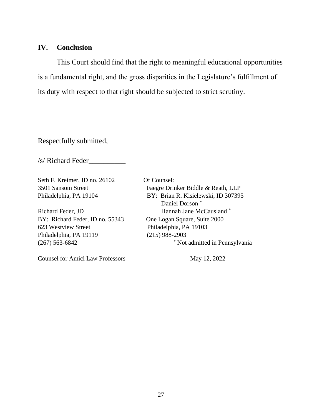#### **IV. Conclusion**

This Court should find that the right to meaningful educational opportunities is a fundamental right, and the gross disparities in the Legislature's fulfillment of its duty with respect to that right should be subjected to strict scrutiny.

Respectfully submitted,

/s/ Richard Feder\_\_\_\_\_\_\_\_\_\_

Seth F. Kreimer, ID no. 26102 Of Counsel:

BY: Richard Feder, ID no. 55343 One Logan Square, Suite 2000 623 Westview Street Philadelphia, PA 19103 Philadelphia, PA 19119 (215) 988-2903

Counsel for Amici Law Professors May 12, 2022

3501 Sansom Street Faegre Drinker Biddle & Reath, LLP Philadelphia, PA 19104 BY: Brian R. Kisielewski, ID 307395 Daniel Dorson \* Richard Feder, JD Hannah Jane McCausland \* (267) 563-6842 \* Not admitted in Pennsylvania